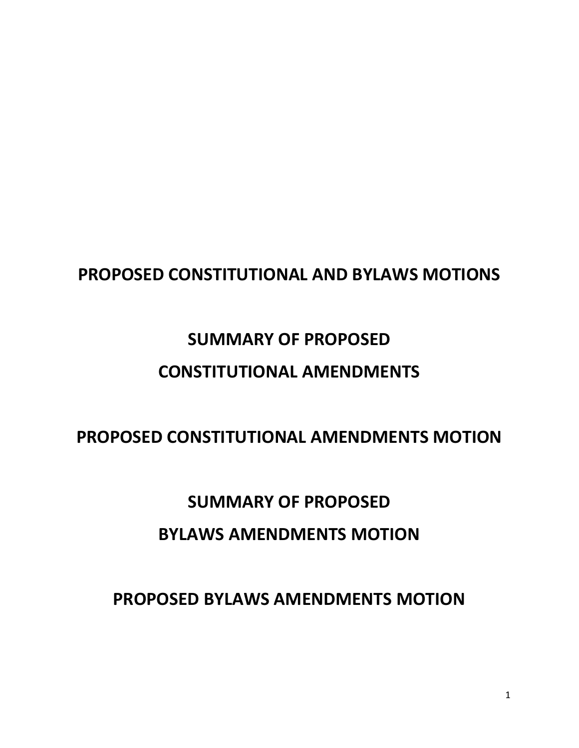# **PROPOSED CONSTITUTIONAL AND BYLAWS MOTIONS**

# **SUMMARY OF PROPOSED CONSTITUTIONAL AMENDMENTS**

# **PROPOSED CONSTITUTIONAL AMENDMENTS MOTION**

# **SUMMARY OF PROPOSED BYLAWS AMENDMENTS MOTION**

# **PROPOSED BYLAWS AMENDMENTS MOTION**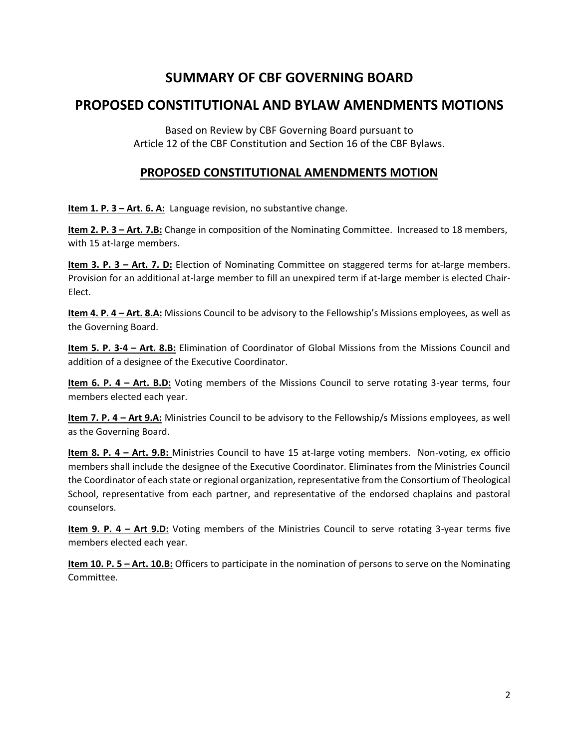# **SUMMARY OF CBF GOVERNING BOARD**

## **PROPOSED CONSTITUTIONAL AND BYLAW AMENDMENTS MOTIONS**

Based on Review by CBF Governing Board pursuant to Article 12 of the CBF Constitution and Section 16 of the CBF Bylaws.

### **PROPOSED CONSTITUTIONAL AMENDMENTS MOTION**

**Item 1. P. 3 – Art. 6. A:** Language revision, no substantive change.

**Item 2. P. 3 – Art. 7.B:** Change in composition of the Nominating Committee. Increased to 18 members, with 15 at-large members.

**Item 3. P. 3 – Art. 7. D:** Election of Nominating Committee on staggered terms for at-large members. Provision for an additional at-large member to fill an unexpired term if at-large member is elected Chair-Elect.

**Item 4. P. 4 – Art. 8.A:** Missions Council to be advisory to the Fellowship's Missions employees, as well as the Governing Board.

**Item 5. P. 3-4 – Art. 8.B:** Elimination of Coordinator of Global Missions from the Missions Council and addition of a designee of the Executive Coordinator.

**Item 6. P. 4 – Art. B.D:** Voting members of the Missions Council to serve rotating 3-year terms, four members elected each year.

**Item 7. P. 4 – Art 9.A:** Ministries Council to be advisory to the Fellowship/s Missions employees, as well as the Governing Board.

**Item 8. P. 4 – Art. 9.B:** Ministries Council to have 15 at-large voting members. Non-voting, ex officio members shall include the designee of the Executive Coordinator. Eliminates from the Ministries Council the Coordinator of each state or regional organization, representative from the Consortium of Theological School, representative from each partner, and representative of the endorsed chaplains and pastoral counselors.

**Item 9. P. 4 – Art 9.D:** Voting members of the Ministries Council to serve rotating 3-year terms five members elected each year.

**Item 10. P. 5 - Art. 10.B:** Officers to participate in the nomination of persons to serve on the Nominating Committee.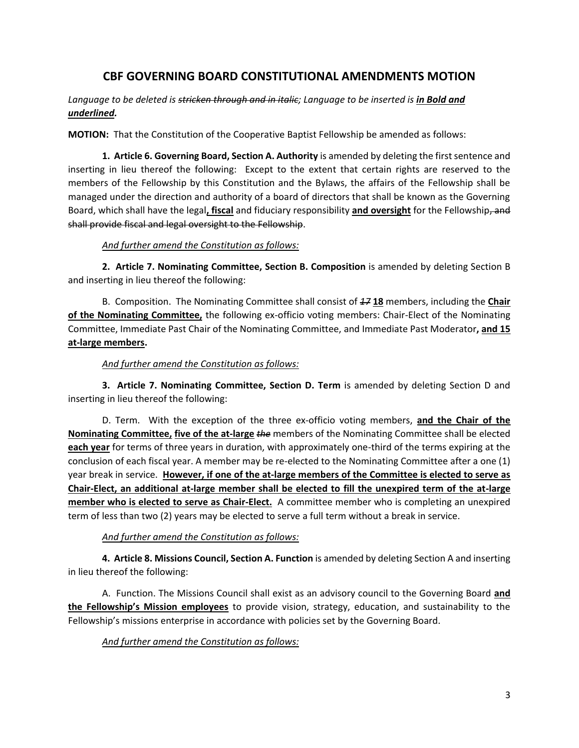### **CBF GOVERNING BOARD CONSTITUTIONAL AMENDMENTS MOTION**

Language to be deleted is stricken through and in italic; Language to be inserted is in Bold and *underlined.* 

**MOTION:** That the Constitution of the Cooperative Baptist Fellowship be amended as follows:

**1. Article 6. Governing Board, Section A. Authority** is amended by deleting the first sentence and inserting in lieu thereof the following: Except to the extent that certain rights are reserved to the members of the Fellowship by this Constitution and the Bylaws, the affairs of the Fellowship shall be managed under the direction and authority of a board of directors that shall be known as the Governing Board, which shall have the legal**, fiscal** and fiduciary responsibility **and oversight** for the Fellowship, and shall provide fiscal and legal oversight to the Fellowship.

#### *And further amend the Constitution as follows:*

**2. Article 7. Nominating Committee, Section B. Composition** is amended by deleting Section B and inserting in lieu thereof the following:

B. Composition. The Nominating Committee shall consist of *17* **18** members, including the **Chair of the Nominating Committee,** the following ex-officio voting members: Chair-Elect of the Nominating Committee, Immediate Past Chair of the Nominating Committee, and Immediate Past Moderator**, and 15 at-large members.**

#### *And further amend the Constitution as follows:*

**3. Article 7. Nominating Committee, Section D. Term** is amended by deleting Section D and inserting in lieu thereof the following:

D. Term. With the exception of the three ex-officio voting members, **and the Chair of the Nominating Committee, five of the at-large** *the* members of the Nominating Committee shall be elected **each year** for terms of three years in duration, with approximately one-third of the terms expiring at the conclusion of each fiscal year. A member may be re-elected to the Nominating Committee after a one (1) year break in service. **However, if one of the at-large members of the Committee is elected to serve as Chair-Elect, an additional at-large member shall be elected to fill the unexpired term of the at-large member who is elected to serve as Chair-Elect.** A committee member who is completing an unexpired term of less than two (2) years may be elected to serve a full term without a break in service.

#### *And further amend the Constitution as follows:*

**4. Article 8. Missions Council, Section A. Function** is amended by deleting Section A and inserting in lieu thereof the following:

A. Function. The Missions Council shall exist as an advisory council to the Governing Board **and the Fellowship's Mission employees** to provide vision, strategy, education, and sustainability to the Fellowship's missions enterprise in accordance with policies set by the Governing Board.

*And further amend the Constitution as follows:*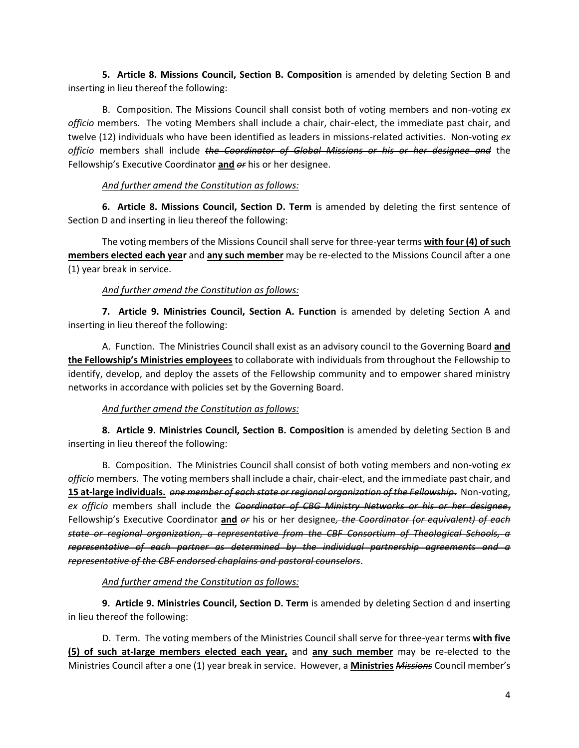**5. Article 8. Missions Council, Section B. Composition** is amended by deleting Section B and inserting in lieu thereof the following:

B. Composition. The Missions Council shall consist both of voting members and non-voting *ex officio* members. The voting Members shall include a chair, chair-elect, the immediate past chair, and twelve (12) individuals who have been identified as leaders in missions-related activities. Non-voting *ex officio* members shall include *the Coordinator of Global Missions or his or her designee and* the Fellowship's Executive Coordinator **and** *or* his or her designee.

#### *And further amend the Constitution as follows:*

**6. Article 8. Missions Council, Section D. Term** is amended by deleting the first sentence of Section D and inserting in lieu thereof the following:

The voting members of the Missions Council shall serve for three-year terms **with four (4) of such members elected each year** and **any such member** may be re-elected to the Missions Council after a one (1) year break in service.

#### *And further amend the Constitution as follows:*

**7. Article 9. Ministries Council, Section A. Function** is amended by deleting Section A and inserting in lieu thereof the following:

A. Function. The Ministries Council shall exist as an advisory council to the Governing Board **and the Fellowship's Ministries employees** to collaborate with individuals from throughout the Fellowship to identify, develop, and deploy the assets of the Fellowship community and to empower shared ministry networks in accordance with policies set by the Governing Board.

#### *And further amend the Constitution as follows:*

**8. Article 9. Ministries Council, Section B. Composition** is amended by deleting Section B and inserting in lieu thereof the following:

B. Composition. The Ministries Council shall consist of both voting members and non-voting *ex officio* members. The voting members shall include a chair, chair-elect, and the immediate past chair, and **15 at-large individuals.** *one member of each state or regional organization of the Fellowship*. Non-voting, *ex officio* members shall include the *Coordinator of CBG Ministry Networks or his or her designee*, Fellowship's Executive Coordinator **and** *or* his or her designee*, the Coordinator (or equivalent) of each state or regional organization, a representative from the CBF Consortium of Theological Schools, a representative of each partner as determined by the individual partnership agreements and a representative of the CBF endorsed chaplains and pastoral counselors*.

#### *And further amend the Constitution as follows:*

**9. Article 9. Ministries Council, Section D. Term** is amended by deleting Section d and inserting in lieu thereof the following:

D. Term. The voting members of the Ministries Council shall serve for three-year terms **with five (5) of such at-large members elected each year,** and **any such member** may be re-elected to the Ministries Council after a one (1) year break in service. However, a **Ministries** *Missions* Council member's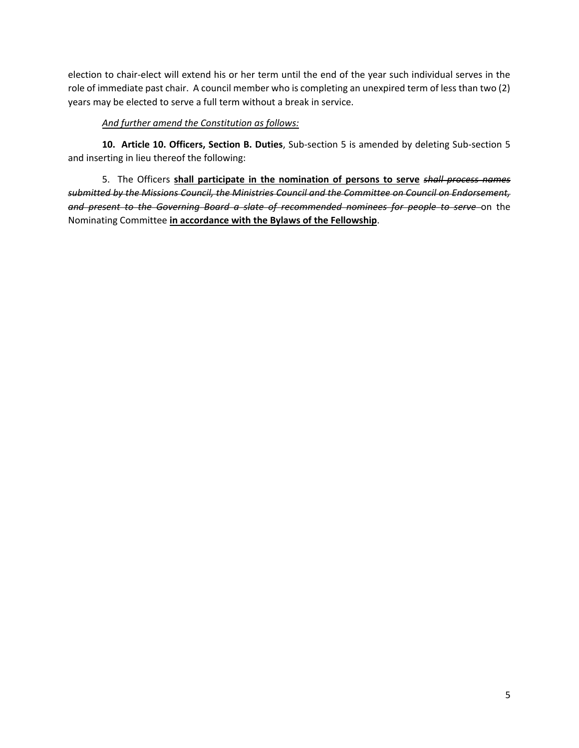election to chair-elect will extend his or her term until the end of the year such individual serves in the role of immediate past chair. A council member who is completing an unexpired term of less than two (2) years may be elected to serve a full term without a break in service.

#### *And further amend the Constitution as follows:*

**10. Article 10. Officers, Section B. Duties**, Sub-section 5 is amended by deleting Sub-section 5 and inserting in lieu thereof the following:

5. The Officers **shall participate in the nomination of persons to serve** *shall process names submitted by the Missions Council, the Ministries Council and the Committee on Council on Endorsement, and present to the Governing Board a slate of recommended nominees for people to serve* on the Nominating Committee **in accordance with the Bylaws of the Fellowship**.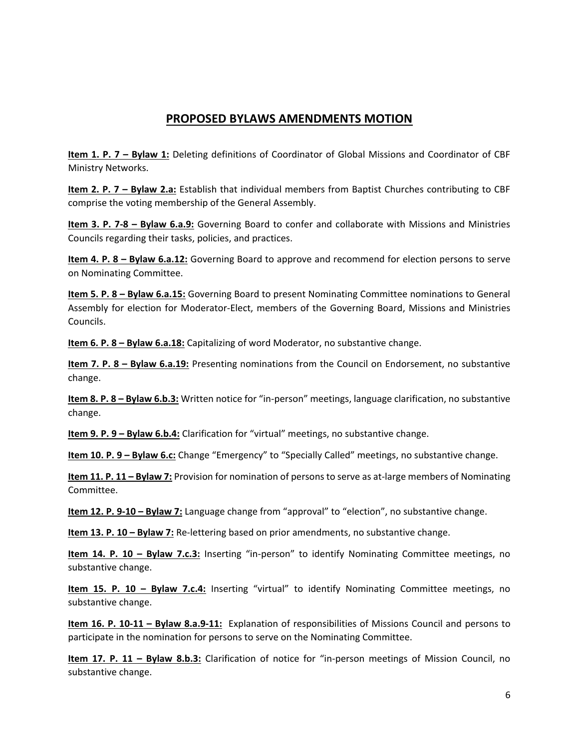## **PROPOSED BYLAWS AMENDMENTS MOTION**

**Item 1. P. 7 – Bylaw 1:** Deleting definitions of Coordinator of Global Missions and Coordinator of CBF Ministry Networks.

**Item 2. P. 7 – Bylaw 2.a:** Establish that individual members from Baptist Churches contributing to CBF comprise the voting membership of the General Assembly.

**Item 3. P. 7-8 – Bylaw 6.a.9:** Governing Board to confer and collaborate with Missions and Ministries Councils regarding their tasks, policies, and practices.

**Item 4. P. 8 – Bylaw 6.a.12:** Governing Board to approve and recommend for election persons to serve on Nominating Committee.

**Item 5. P. 8 – Bylaw 6.a.15:** Governing Board to present Nominating Committee nominations to General Assembly for election for Moderator-Elect, members of the Governing Board, Missions and Ministries Councils.

**Item 6. P. 8 – Bylaw 6.a.18:** Capitalizing of word Moderator, no substantive change.

**Item 7. P. 8 – Bylaw 6.a.19:** Presenting nominations from the Council on Endorsement, no substantive change.

**Item 8. P. 8 – Bylaw 6.b.3:** Written notice for "in-person" meetings, language clarification, no substantive change.

**Item 9. P. 9 – Bylaw 6.b.4:** Clarification for "virtual" meetings, no substantive change.

**Item 10. P. 9 – Bylaw 6.c:** Change "Emergency" to "Specially Called" meetings, no substantive change.

**Item 11. P. 11 – Bylaw 7:** Provision for nomination of persons to serve as at-large members of Nominating Committee.

**Item 12. P. 9-10 – Bylaw 7:** Language change from "approval" to "election", no substantive change.

**Item 13. P. 10 – Bylaw 7:** Re-lettering based on prior amendments, no substantive change.

**Item 14. P. 10 – Bylaw 7.c.3:** Inserting "in-person" to identify Nominating Committee meetings, no substantive change.

**Item 15. P. 10 – Bylaw 7.c.4:** Inserting "virtual" to identify Nominating Committee meetings, no substantive change.

**Item 16. P. 10-11 – Bylaw 8.a.9-11:** Explanation of responsibilities of Missions Council and persons to participate in the nomination for persons to serve on the Nominating Committee.

**Item 17. P. 11 – Bylaw 8.b.3:** Clarification of notice for "in-person meetings of Mission Council, no substantive change.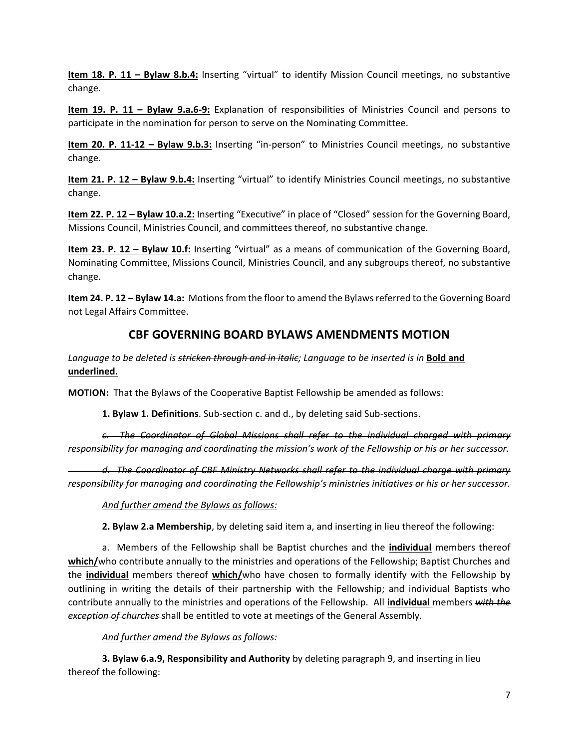**Item 18. P. 11 – Bylaw 8.b.4:** Inserting "virtual" to identify Mission Council meetings, no substantive change.

**Item 19. P. 11 – Bylaw 9.a.6-9:** Explanation of responsibilities of Ministries Council and persons to participate in the nomination for person to serve on the Nominating Committee.

**Item 20. P. 11-12 – Bylaw 9.b.3:** Inserting "in-person" to Ministries Council meetings, no substantive change.

**Item 21. P. 12 – Bylaw 9.b.4:** Inserting "virtual" to identify Ministries Council meetings, no substantive change.

**Item 22. P. 12 – Bylaw 10.a.2:** Inserting "Executive" in place of "Closed" session for the Governing Board, Missions Council, Ministries Council, and committees thereof, no substantive change.

**Item 23. P. 12 – Bylaw 10.f:** Inserting "virtual" as a means of communication of the Governing Board, Nominating Committee, Missions Council, Ministries Council, and any subgroups thereof, no substantive change.

**Item 24. P. 12 – Bylaw 14.a:** Motions from the floor to amend the Bylaws referred to the Governing Board not Legal Affairs Committee.

## **CBF GOVERNING BOARD BYLAWS AMENDMENTS MOTION**

Language to be deleted is stricken through and in italic; Language to be inserted is in **Bold and underlined.** 

**MOTION:** That the Bylaws of the Cooperative Baptist Fellowship be amended as follows:

**1. Bylaw 1. Definitions**. Sub-section c. and d., by deleting said Sub-sections.

*c. The Coordinator of Global Missions shall refer to the individual charged with primary responsibility for managing and coordinating the mission's work of the Fellowship or his or her successor.* 

*d. The Coordinator of CBF Ministry Networks shall refer to the individual charge with primary responsibility for managing and coordinating the Fellowship's ministries initiatives or his or her successor.* 

*And further amend the Bylaws as follows:*

**2. Bylaw 2.a Membership**, by deleting said item a, and inserting in lieu thereof the following:

a. Members of the Fellowship shall be Baptist churches and the **individual** members thereof **which/**who contribute annually to the ministries and operations of the Fellowship; Baptist Churches and the **individual** members thereof **which/**who have chosen to formally identify with the Fellowship by outlining in writing the details of their partnership with the Fellowship; and individual Baptists who contribute annually to the ministries and operations of the Fellowship. All **individual** members *with the exception of churches* shall be entitled to vote at meetings of the General Assembly.

#### *And further amend the Bylaws as follows:*

**3. Bylaw 6.a.9, Responsibility and Authority** by deleting paragraph 9, and inserting in lieu thereof the following: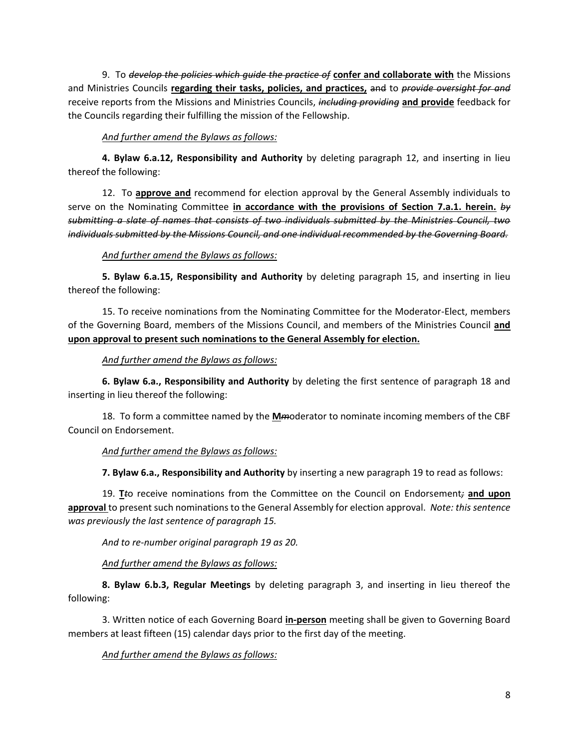9. To *develop the policies which guide the practice of* **confer and collaborate with** the Missions and Ministries Councils **regarding their tasks, policies, and practices,** and to *provide oversight for and* receive reports from the Missions and Ministries Councils, *including providing* **and provide** feedback for the Councils regarding their fulfilling the mission of the Fellowship.

#### *And further amend the Bylaws as follows:*

**4. Bylaw 6.a.12, Responsibility and Authority** by deleting paragraph 12, and inserting in lieu thereof the following:

12. To **approve and** recommend for election approval by the General Assembly individuals to serve on the Nominating Committee **in accordance with the provisions of Section 7.a.1. herein.** *by submitting a slate of names that consists of two individuals submitted by the Ministries Council, two individuals submitted by the Missions Council, and one individual recommended by the Governing Board.* 

#### *And further amend the Bylaws as follows:*

**5. Bylaw 6.a.15, Responsibility and Authority** by deleting paragraph 15, and inserting in lieu thereof the following:

15. To receive nominations from the Nominating Committee for the Moderator-Elect, members of the Governing Board, members of the Missions Council, and members of the Ministries Council **and upon approval to present such nominations to the General Assembly for election.** 

#### *And further amend the Bylaws as follows:*

**6. Bylaw 6.a., Responsibility and Authority** by deleting the first sentence of paragraph 18 and inserting in lieu thereof the following:

18. To form a committee named by the **M***m*oderator to nominate incoming members of the CBF Council on Endorsement.

#### *And further amend the Bylaws as follows:*

**7. Bylaw 6.a., Responsibility and Authority** by inserting a new paragraph 19 to read as follows:

19. **T***t*o receive nominations from the Committee on the Council on Endorsement*;* **and upon approval** to present such nominations to the General Assembly for election approval. *Note: this sentence was previously the last sentence of paragraph 15.*

*And to re-number original paragraph 19 as 20.*

*And further amend the Bylaws as follows:*

**8. Bylaw 6.b.3, Regular Meetings** by deleting paragraph 3, and inserting in lieu thereof the following:

3. Written notice of each Governing Board **in-person** meeting shall be given to Governing Board members at least fifteen (15) calendar days prior to the first day of the meeting.

#### *And further amend the Bylaws as follows:*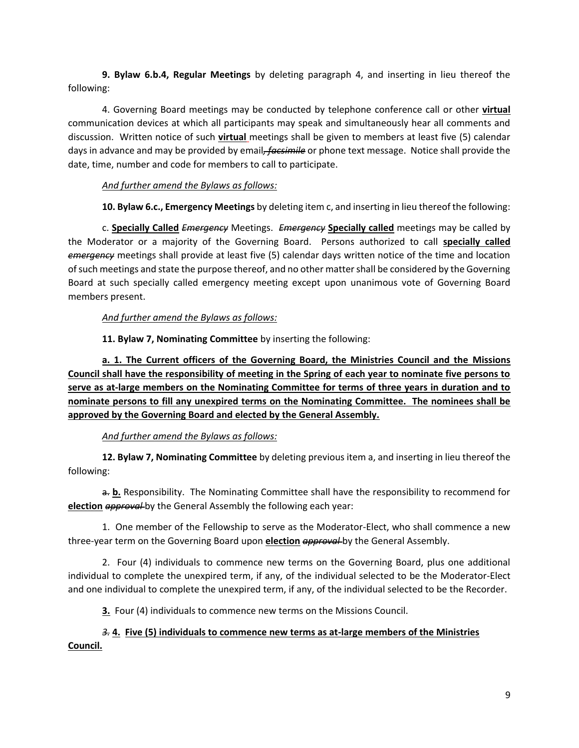**9. Bylaw 6.b.4, Regular Meetings** by deleting paragraph 4, and inserting in lieu thereof the following:

4. Governing Board meetings may be conducted by telephone conference call or other **virtual** communication devices at which all participants may speak and simultaneously hear all comments and discussion. Written notice of such **virtual** meetings shall be given to members at least five (5) calendar days in advance and may be provided by email*, facsimile* or phone text message. Notice shall provide the date, time, number and code for members to call to participate.

#### *And further amend the Bylaws as follows:*

**10. Bylaw 6.c., Emergency Meetings** by deleting item c, and inserting in lieu thereof the following:

c. **Specially Called** *Emergency* Meetings. *Emergency* **Specially called** meetings may be called by the Moderator or a majority of the Governing Board. Persons authorized to call **specially called** *emergency* meetings shall provide at least five (5) calendar days written notice of the time and location of such meetings and state the purpose thereof, and no other matter shall be considered by the Governing Board at such specially called emergency meeting except upon unanimous vote of Governing Board members present.

#### *And further amend the Bylaws as follows:*

**11. Bylaw 7, Nominating Committee** by inserting the following:

**a. 1. The Current officers of the Governing Board, the Ministries Council and the Missions Council shall have the responsibility of meeting in the Spring of each year to nominate five persons to serve as at-large members on the Nominating Committee for terms of three years in duration and to nominate persons to fill any unexpired terms on the Nominating Committee. The nominees shall be approved by the Governing Board and elected by the General Assembly.**

#### *And further amend the Bylaws as follows:*

**12. Bylaw 7, Nominating Committee** by deleting previous item a, and inserting in lieu thereof the following:

a. **b.** Responsibility. The Nominating Committee shall have the responsibility to recommend for **election** *approval* by the General Assembly the following each year:

1. One member of the Fellowship to serve as the Moderator-Elect, who shall commence a new three-year term on the Governing Board upon **election** *approval* by the General Assembly.

2. Four (4) individuals to commence new terms on the Governing Board, plus one additional individual to complete the unexpired term, if any, of the individual selected to be the Moderator-Elect and one individual to complete the unexpired term, if any, of the individual selected to be the Recorder.

**3.** Four (4) individuals to commence new terms on the Missions Council.

#### *3.* **4. Five (5) individuals to commence new terms as at-large members of the Ministries Council.**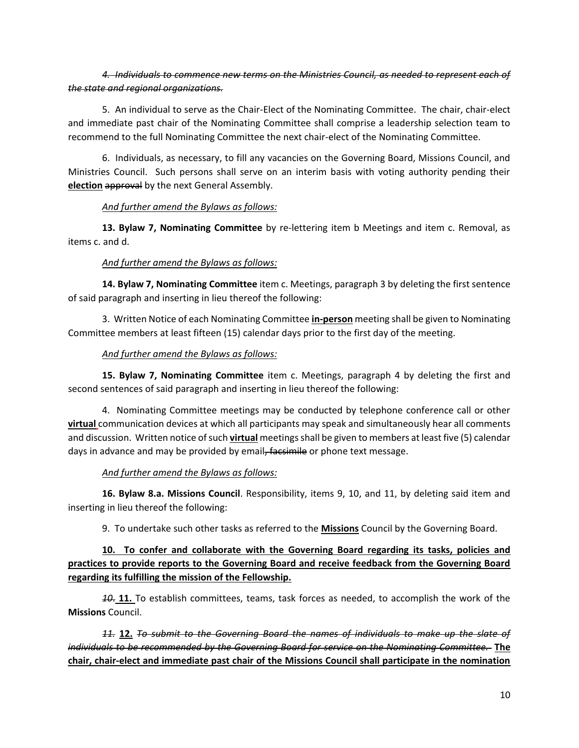#### *4. Individuals to commence new terms on the Ministries Council, as needed to represent each of the state and regional organizations.*

5. An individual to serve as the Chair-Elect of the Nominating Committee. The chair, chair-elect and immediate past chair of the Nominating Committee shall comprise a leadership selection team to recommend to the full Nominating Committee the next chair-elect of the Nominating Committee.

6. Individuals, as necessary, to fill any vacancies on the Governing Board, Missions Council, and Ministries Council. Such persons shall serve on an interim basis with voting authority pending their **election** approval by the next General Assembly.

#### *And further amend the Bylaws as follows:*

**13. Bylaw 7, Nominating Committee** by re-lettering item b Meetings and item c. Removal, as items c. and d.

#### *And further amend the Bylaws as follows:*

**14. Bylaw 7, Nominating Committee** item c. Meetings, paragraph 3 by deleting the first sentence of said paragraph and inserting in lieu thereof the following:

3. Written Notice of each Nominating Committee **in-person** meeting shall be given to Nominating Committee members at least fifteen (15) calendar days prior to the first day of the meeting.

#### *And further amend the Bylaws as follows:*

**15. Bylaw 7, Nominating Committee** item c. Meetings, paragraph 4 by deleting the first and second sentences of said paragraph and inserting in lieu thereof the following:

4. Nominating Committee meetings may be conducted by telephone conference call or other **virtual** communication devices at which all participants may speak and simultaneously hear all comments and discussion. Written notice of such **virtual** meetings shall be given to members at least five (5) calendar days in advance and may be provided by email, facsimile or phone text message.

#### *And further amend the Bylaws as follows:*

**16. Bylaw 8.a. Missions Council**. Responsibility, items 9, 10, and 11, by deleting said item and inserting in lieu thereof the following:

9. To undertake such other tasks as referred to the **Missions** Council by the Governing Board.

#### **10. To confer and collaborate with the Governing Board regarding its tasks, policies and practices to provide reports to the Governing Board and receive feedback from the Governing Board regarding its fulfilling the mission of the Fellowship.**

*10*. **11.** To establish committees, teams, task forces as needed, to accomplish the work of the **Missions** Council.

*11.* **12.** *To submit to the Governing Board the names of individuals to make up the slate of individuals to be recommended by the Governing Board for service on the Nominating Committee.* **The chair, chair-elect and immediate past chair of the Missions Council shall participate in the nomination**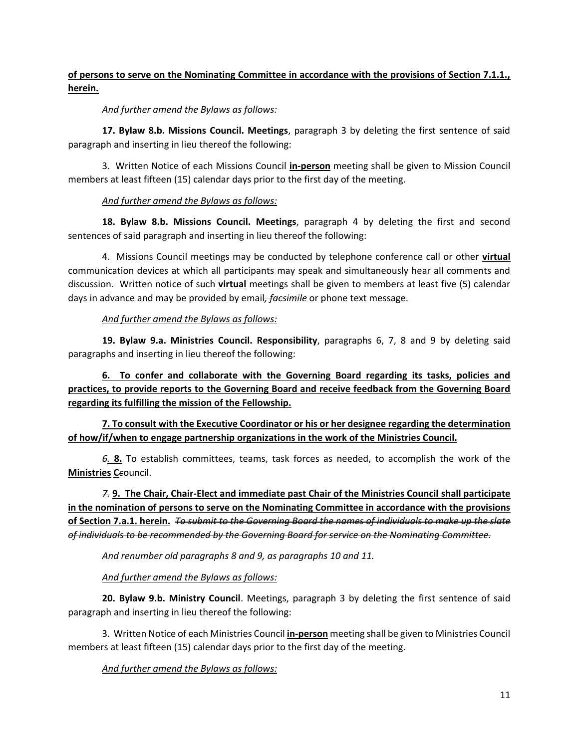#### **of persons to serve on the Nominating Committee in accordance with the provisions of Section 7.1.1., herein.**

*And further amend the Bylaws as follows:*

**17. Bylaw 8.b. Missions Council. Meetings**, paragraph 3 by deleting the first sentence of said paragraph and inserting in lieu thereof the following:

3. Written Notice of each Missions Council **in-person** meeting shall be given to Mission Council members at least fifteen (15) calendar days prior to the first day of the meeting.

#### *And further amend the Bylaws as follows:*

**18. Bylaw 8.b. Missions Council. Meetings**, paragraph 4 by deleting the first and second sentences of said paragraph and inserting in lieu thereof the following:

4. Missions Council meetings may be conducted by telephone conference call or other **virtual**  communication devices at which all participants may speak and simultaneously hear all comments and discussion. Written notice of such **virtual** meetings shall be given to members at least five (5) calendar days in advance and may be provided by email*, facsimile* or phone text message.

#### *And further amend the Bylaws as follows:*

**19. Bylaw 9.a. Ministries Council. Responsibility**, paragraphs 6, 7, 8 and 9 by deleting said paragraphs and inserting in lieu thereof the following:

**6. To confer and collaborate with the Governing Board regarding its tasks, policies and practices, to provide reports to the Governing Board and receive feedback from the Governing Board regarding its fulfilling the mission of the Fellowship.**

**7. To consult with the Executive Coordinator or his or her designee regarding the determination of how/if/when to engage partnership organizations in the work of the Ministries Council.**

*6.* **8.** To establish committees, teams, task forces as needed, to accomplish the work of the **Ministries C***c*ouncil.

*7.* **9. The Chair, Chair-Elect and immediate past Chair of the Ministries Council shall participate in the nomination of persons to serve on the Nominating Committee in accordance with the provisions of Section 7.a.1. herein.** *To submit to the Governing Board the names of individuals to make up the slate of individuals to be recommended by the Governing Board for service on the Nominating Committee.* 

*And renumber old paragraphs 8 and 9, as paragraphs 10 and 11.* 

#### *And further amend the Bylaws as follows:*

**20. Bylaw 9.b. Ministry Council**. Meetings, paragraph 3 by deleting the first sentence of said paragraph and inserting in lieu thereof the following:

3. Written Notice of each Ministries Council **in-person** meeting shall be given to Ministries Council members at least fifteen (15) calendar days prior to the first day of the meeting.

*And further amend the Bylaws as follows:*